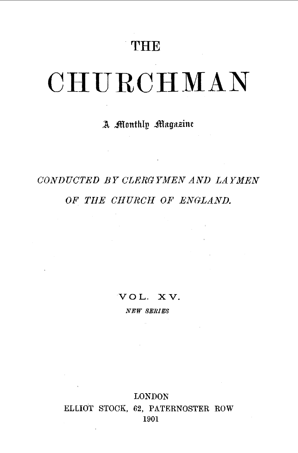## **THE**

# **CHURCHMAN**

### A Monthly Magazine

# CONDUCTED BY CLERG YMEN AND LAYMEN *OF THE CHURCH OF ENGLAND.*

VOL. XV.

*NEW SERIES* 

LONDON ELLIOT STOCK, 62, PATERNOSTER ROW 1901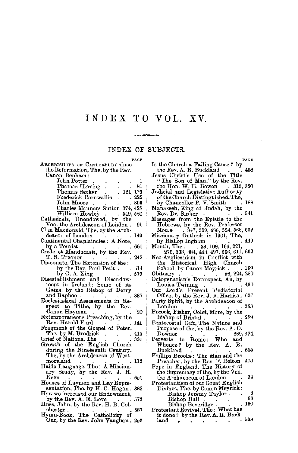## **INDEX TO VOL.** XV.

÷

#### INDEX OF SUBJECTS.

**PAGE** 

 $\mathcal{A}^{\text{max}}_{\text{max}}$  and

| ARCHBISHOPS OF CANTERBURY since                                                                              |
|--------------------------------------------------------------------------------------------------------------|
| the Reformation, The, by the Rev.                                                                            |
| Canon Benham:                                                                                                |
| on Bennam<br>John Potter<br>Thomas Herring 81<br>Thomas Secker 121, 179<br>Frederick Cornwallis 205<br>Moore |
|                                                                                                              |
|                                                                                                              |
|                                                                                                              |
|                                                                                                              |
|                                                                                                              |
| Charles Manners Sutton 374, 428                                                                              |
| William Howley 549, 580<br>Cathedrals, Unendowed, by the                                                     |
|                                                                                                              |
| Ven. the Archdeacon of London.<br>91                                                                         |
| Clan Macdonald, The, by the Arch-                                                                            |
| deacon of London<br>-149                                                                                     |
| Continental Chaplaincies: A Note,                                                                            |
| by a Tourist<br>Crede et Manducasti, by the Rev.<br>. 660                                                    |
|                                                                                                              |
| .242<br>T. S. Treanor                                                                                        |
| Diaconate, The Extension of the:                                                                             |
|                                                                                                              |
| by the Rev. Paul Petit 514                                                                                   |
| by G.A.King<br>. 519                                                                                         |
| Disestablishment and Disendow-                                                                               |
| ment in Ireland: Some of its<br>Gains, by the Bishop of Derry                                                |
|                                                                                                              |
| and Raphoe<br>337                                                                                            |
| Ecclesiastical Assessments in Re-                                                                            |
| spect to Tithe, by the Rev.                                                                                  |
| Canon Hayman<br>20                                                                                           |
| Extemporaneous Preaching, by the                                                                             |
| Rev. Harold Ford<br>141                                                                                      |
| Fragment of the Gospel of Peter,                                                                             |
|                                                                                                              |
| 415                                                                                                          |
| 330                                                                                                          |
|                                                                                                              |
| during the Nineteenth Century,                                                                               |
| The, by the Archdeacon of West-                                                                              |
| moreland<br>113                                                                                              |
| Haida Language, The: A Mission-                                                                              |
| ary Study, by the Rev. J. H.                                                                                 |
| Keen<br>. 650                                                                                                |
| Houses of Laymen and Lay Repre-                                                                              |
| sentation, The, by H. C. Hogan. 382                                                                          |
|                                                                                                              |
|                                                                                                              |
| How we increased our Endowment,                                                                              |
| by the Rev. A. E. Love<br>573                                                                                |
|                                                                                                              |
| Huss, John, by the Rev. H. B. Col-<br>chester .<br>587                                                       |
| Hymn-Book, The Catholicity of Our, by the Rev. John Vaughan.<br>253                                          |

| PACE                                                                                                            |
|-----------------------------------------------------------------------------------------------------------------|
| Is the Church a Failing Cause? by                                                                               |
| the Rev. A. R. Buckland<br>408                                                                                  |
| Jesus Christ's Use of the Title                                                                                 |
| "The Son of Man," by the Rev.                                                                                   |
| the Hon. W. E. Bowen . 315, 350                                                                                 |
| Judicial and Legislative Authority                                                                              |
| of the Church Distinguished, The,                                                                               |
| by Chancellor P. V. Smith<br>188                                                                                |
| Manasseh, King of Judah, by the                                                                                 |
| 541<br>Rev. Dr. Sinker                                                                                          |
| Messages from the Epistle to the                                                                                |
| Hebrews, by the Rev. Professor                                                                                  |
| Moule 347, 399, 486, 524, 568, 632                                                                              |
| Missionary Outlook in 1901, The,                                                                                |
| 449<br>by Bishop Ingham                                                                                         |
|                                                                                                                 |
|                                                                                                                 |
| Month, The 53, 109, 166, 221, 216<br>276, 333, 384, 443, 497, 566, 611, 662<br>Neo-Anglicanism in Conflict with |
| the Historical High Church                                                                                      |
| School, by Canon Meyrick.<br>169                                                                                |
| 56, 224, 280<br>Obituary                                                                                        |
| Obituary<br>Octogenarian's Retrospect, An, by                                                                   |
| 490<br>Louisa Twining                                                                                           |
| Our Lord's Present Mediatorial<br>Office, by the Rev. J. A. Harriss                                             |
| 637                                                                                                             |
| Party Spirit, by the Archdeacon of                                                                              |
| $\mathop{\mathrm{London}}$<br>263                                                                               |
| Pecock, Fisher, Colet, More, by the                                                                             |
| 289<br>Bishop of Bristol                                                                                        |
| Pentecostal Gift, The Nature and<br>Purpose of the, by the Rev. A. C.                                           |
|                                                                                                                 |
| 369, 424<br>$_{\rm{Downer}}$<br>Downer 369,<br>Perverts to Rome: Who and                                        |
|                                                                                                                 |
| Whence? by the Rev. $A. R$ .                                                                                    |
| 605<br>${\rm Backland}$                                                                                         |
| Phillips Brooks: The Man and the                                                                                |
| Preacher, by the Rev. F. Relton<br>Pope in England, The History of<br>470                                       |
|                                                                                                                 |
| the Supremacy of the, by the Ven.                                                                               |
| 34<br>the Archdeacon of London                                                                                  |
| Protestantism of our Great English                                                                              |
| Divines, The, by Canon Meyrick:                                                                                 |
| 8<br>Bishop Jeremy Taylor.                                                                                      |
| 68<br>Bishop Bull<br>Bishop Beveridge<br>Protestant Revival, The: What has                                      |
| 130                                                                                                             |
|                                                                                                                 |

 $\sim$   $\sim$ 

| - - - - - - - - - - - -<br>it done? by the Rev. A. R. Buck- |  |  |  |  |       |
|-------------------------------------------------------------|--|--|--|--|-------|
| land                                                        |  |  |  |  | . 528 |